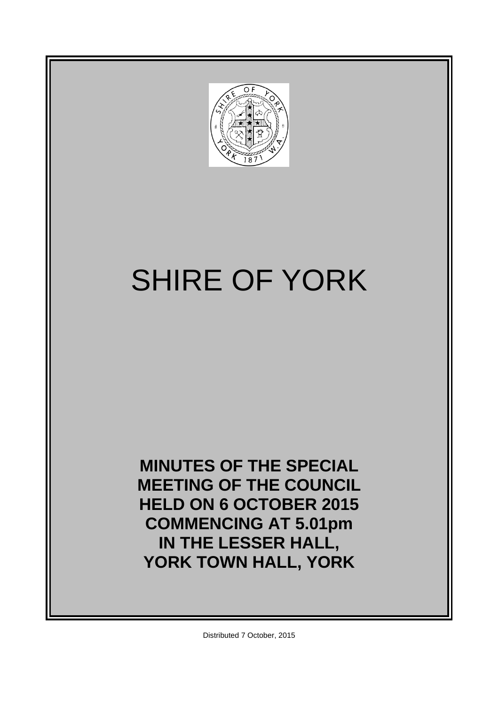

# SHIRE OF YORK

**MINUTES OF THE SPECIAL MEETING OF THE COUNCIL HELD ON 6 OCTOBER 2015 COMMENCING AT 5.01pm IN THE LESSER HALL, YORK TOWN HALL, YORK**

Distributed 7 October, 2015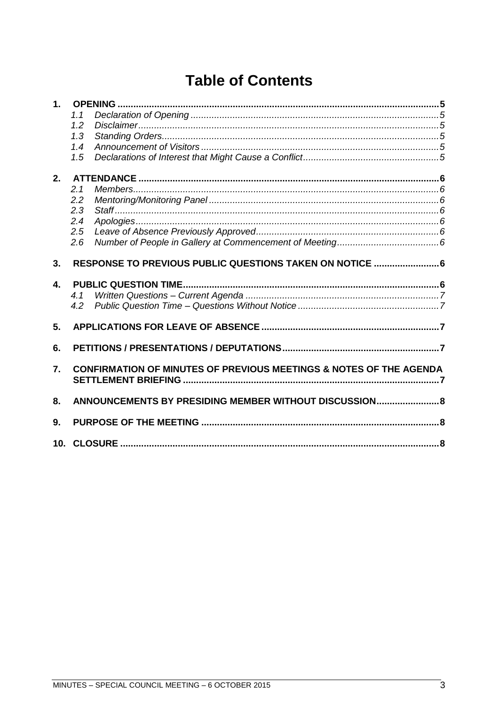## **Table of Contents**

| 1.             |                                                        |                                                                               |  |
|----------------|--------------------------------------------------------|-------------------------------------------------------------------------------|--|
|                | 1.1                                                    |                                                                               |  |
|                | 1.2                                                    |                                                                               |  |
|                | 1.3                                                    |                                                                               |  |
|                | 1.4                                                    |                                                                               |  |
|                | 1.5                                                    |                                                                               |  |
| 2.             |                                                        |                                                                               |  |
|                | 2.1                                                    |                                                                               |  |
|                | 2.2                                                    |                                                                               |  |
|                | 2.3                                                    |                                                                               |  |
|                | 2.4                                                    |                                                                               |  |
|                | 2.5                                                    |                                                                               |  |
|                | 2.6                                                    |                                                                               |  |
|                |                                                        |                                                                               |  |
| 3 <sub>1</sub> |                                                        | RESPONSE TO PREVIOUS PUBLIC QUESTIONS TAKEN ON NOTICE  6                      |  |
| $\mathbf{4}$   |                                                        |                                                                               |  |
|                | 4.1                                                    |                                                                               |  |
|                | 4.2                                                    |                                                                               |  |
| 5.             |                                                        |                                                                               |  |
| 6.             |                                                        |                                                                               |  |
|                |                                                        |                                                                               |  |
| 7.             |                                                        | <b>CONFIRMATION OF MINUTES OF PREVIOUS MEETINGS &amp; NOTES OF THE AGENDA</b> |  |
|                |                                                        |                                                                               |  |
| 8.             | ANNOUNCEMENTS BY PRESIDING MEMBER WITHOUT DISCUSSION 8 |                                                                               |  |
| 9.             |                                                        |                                                                               |  |
|                |                                                        |                                                                               |  |
|                |                                                        |                                                                               |  |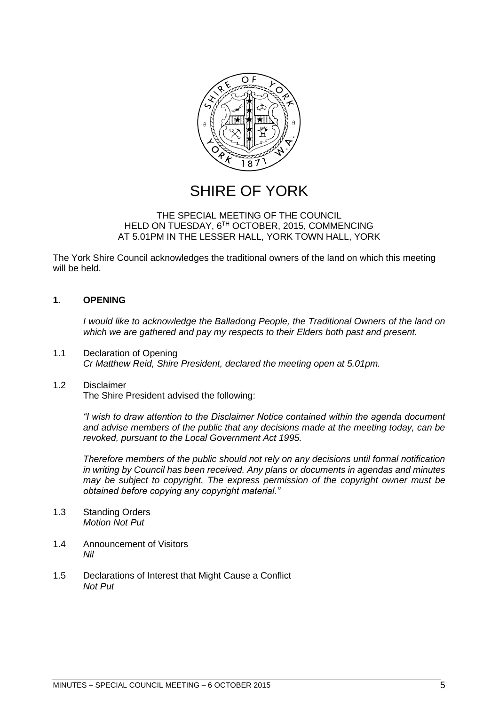

## SHIRE OF YORK

#### THE SPECIAL MEETING OF THE COUNCIL HELD ON TUESDAY, 6TH OCTOBER, 2015, COMMENCING AT 5.01PM IN THE LESSER HALL, YORK TOWN HALL, YORK

The York Shire Council acknowledges the traditional owners of the land on which this meeting will be held.

#### <span id="page-4-0"></span>**1. OPENING**

*I would like to acknowledge the Balladong People, the Traditional Owners of the land on which we are gathered and pay my respects to their Elders both past and present.*

<span id="page-4-1"></span>1.1 Declaration of Opening *Cr Matthew Reid, Shire President, declared the meeting open at 5.01pm.*

#### <span id="page-4-2"></span>1.2 Disclaimer

The Shire President advised the following:

*"I wish to draw attention to the Disclaimer Notice contained within the agenda document and advise members of the public that any decisions made at the meeting today, can be revoked, pursuant to the Local Government Act 1995.* 

*Therefore members of the public should not rely on any decisions until formal notification in writing by Council has been received. Any plans or documents in agendas and minutes may be subject to copyright. The express permission of the copyright owner must be obtained before copying any copyright material."*

- <span id="page-4-3"></span>1.3 Standing Orders *Motion Not Put*
- <span id="page-4-4"></span>1.4 Announcement of Visitors *Nil*
- <span id="page-4-5"></span>1.5 Declarations of Interest that Might Cause a Conflict *Not Put*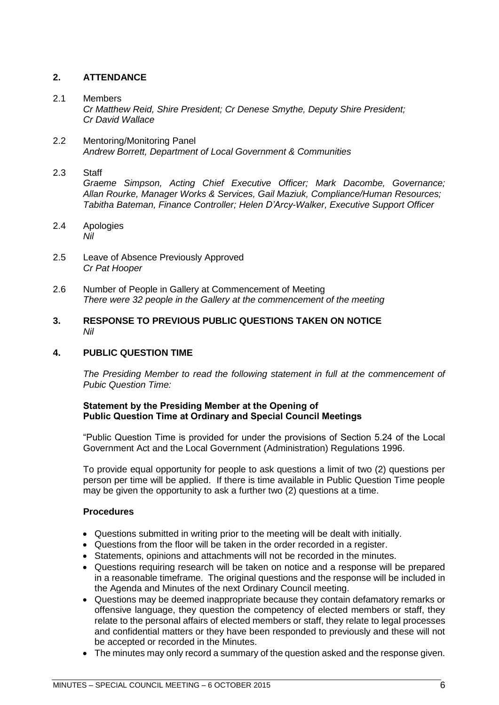#### <span id="page-5-0"></span>**2. ATTENDANCE**

#### <span id="page-5-1"></span>2.1 Members

*Cr Matthew Reid, Shire President; Cr Denese Smythe, Deputy Shire President; Cr David Wallace*

<span id="page-5-2"></span>2.2 Mentoring/Monitoring Panel *Andrew Borrett, Department of Local Government & Communities*

#### <span id="page-5-3"></span>2.3 Staff

*Graeme Simpson, Acting Chief Executive Officer; Mark Dacombe, Governance; Allan Rourke, Manager Works & Services, Gail Maziuk, Compliance/Human Resources; Tabitha Bateman, Finance Controller; Helen D'Arcy-Walker, Executive Support Officer*

- <span id="page-5-4"></span>2.4 Apologies *Nil*
- <span id="page-5-5"></span>2.5 Leave of Absence Previously Approved *Cr Pat Hooper*
- <span id="page-5-6"></span>2.6 Number of People in Gallery at Commencement of Meeting *There were 32 people in the Gallery at the commencement of the meeting*
- <span id="page-5-7"></span>**3. RESPONSE TO PREVIOUS PUBLIC QUESTIONS TAKEN ON NOTICE** *Nil*

#### <span id="page-5-8"></span>**4. PUBLIC QUESTION TIME**

*The Presiding Member to read the following statement in full at the commencement of Pubic Question Time:*

#### **Statement by the Presiding Member at the Opening of Public Question Time at Ordinary and Special Council Meetings**

"Public Question Time is provided for under the provisions of Section 5.24 of the Local Government Act and the Local Government (Administration) Regulations 1996.

To provide equal opportunity for people to ask questions a limit of two (2) questions per person per time will be applied. If there is time available in Public Question Time people may be given the opportunity to ask a further two (2) questions at a time.

#### **Procedures**

- Questions submitted in writing prior to the meeting will be dealt with initially.
- Questions from the floor will be taken in the order recorded in a register.
- Statements, opinions and attachments will not be recorded in the minutes.
- Questions requiring research will be taken on notice and a response will be prepared in a reasonable timeframe. The original questions and the response will be included in the Agenda and Minutes of the next Ordinary Council meeting.
- Questions may be deemed inappropriate because they contain defamatory remarks or offensive language, they question the competency of elected members or staff, they relate to the personal affairs of elected members or staff, they relate to legal processes and confidential matters or they have been responded to previously and these will not be accepted or recorded in the Minutes.
- The minutes may only record a summary of the question asked and the response given.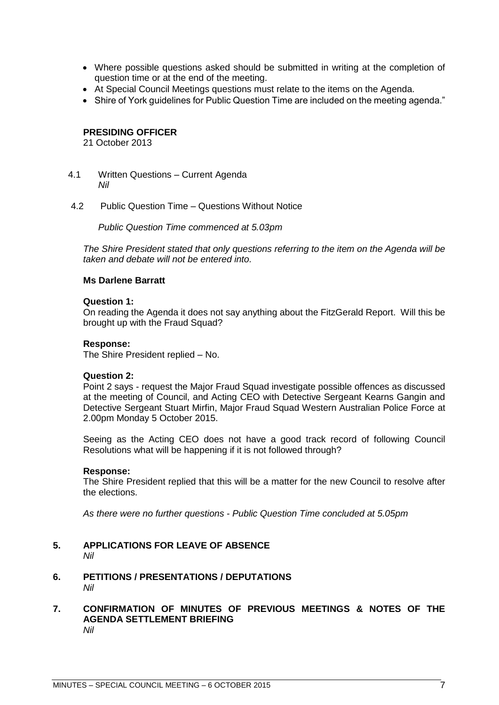- Where possible questions asked should be submitted in writing at the completion of question time or at the end of the meeting.
- At Special Council Meetings questions must relate to the items on the Agenda.
- Shire of York quidelines for Public Question Time are included on the meeting agenda."

#### **PRESIDING OFFICER**

21 October 2013

- <span id="page-6-0"></span>4.1 Written Questions – Current Agenda *Nil*
- <span id="page-6-1"></span>4.2 Public Question Time – Questions Without Notice

*Public Question Time commenced at 5.03pm*

*The Shire President stated that only questions referring to the item on the Agenda will be taken and debate will not be entered into.*

#### **Ms Darlene Barratt**

#### **Question 1:**

On reading the Agenda it does not say anything about the FitzGerald Report. Will this be brought up with the Fraud Squad?

#### **Response:**

The Shire President replied – No.

#### **Question 2:**

Point 2 says - request the Major Fraud Squad investigate possible offences as discussed at the meeting of Council, and Acting CEO with Detective Sergeant Kearns Gangin and Detective Sergeant Stuart Mirfin, Major Fraud Squad Western Australian Police Force at 2.00pm Monday 5 October 2015.

Seeing as the Acting CEO does not have a good track record of following Council Resolutions what will be happening if it is not followed through?

#### **Response:**

The Shire President replied that this will be a matter for the new Council to resolve after the elections.

*As there were no further questions - Public Question Time concluded at 5.05pm*

- <span id="page-6-2"></span>**5. APPLICATIONS FOR LEAVE OF ABSENCE**  *Nil*
- <span id="page-6-3"></span>**6. PETITIONS / PRESENTATIONS / DEPUTATIONS** *Nil*
- <span id="page-6-5"></span><span id="page-6-4"></span>**7. CONFIRMATION OF MINUTES OF PREVIOUS MEETINGS & NOTES OF THE AGENDA SETTLEMENT BRIEFING**  *Nil*